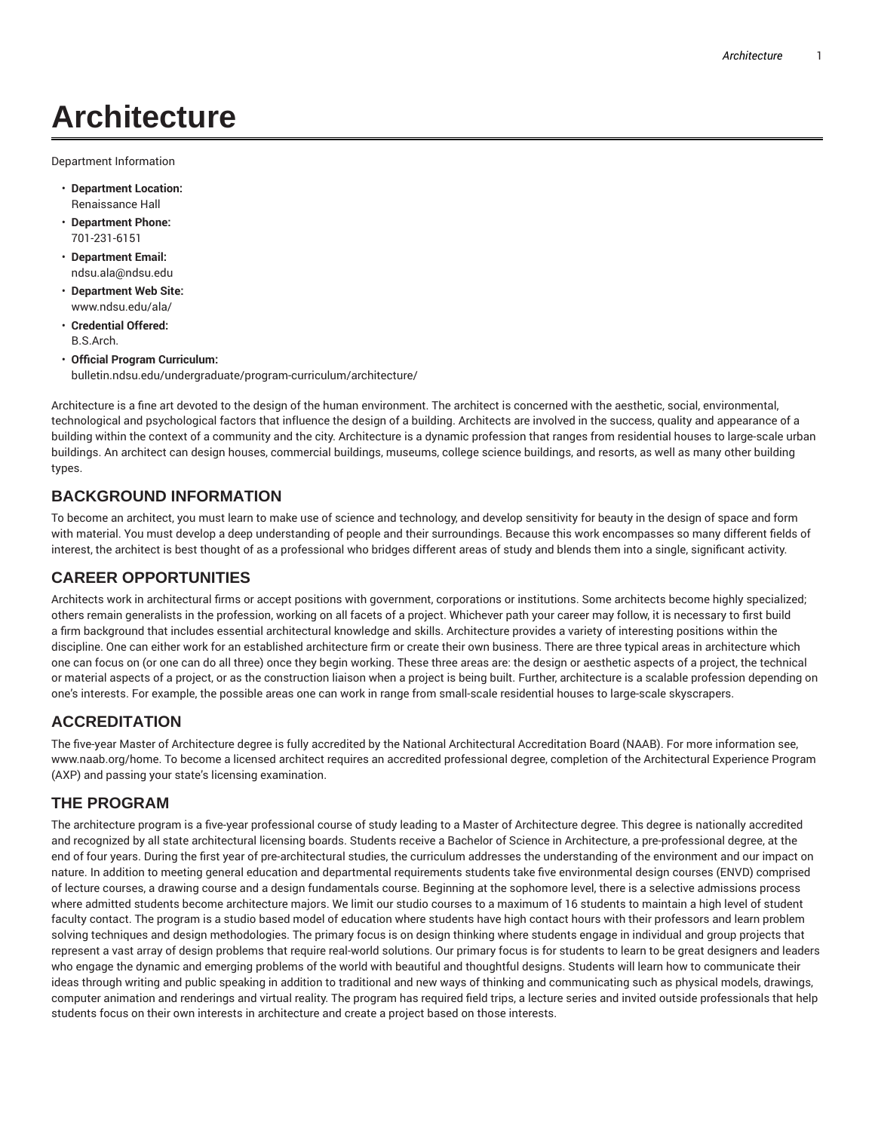# **Architecture**

Department Information

- **Department Location:** Renaissance Hall
- **Department Phone:** 701-231-6151
- **Department Email:** ndsu.ala@ndsu.edu
- **Department Web Site:** www.ndsu.edu/ala/
- **Credential Offered:** B.S.Arch.
- **Official Program Curriculum:** bulletin.ndsu.edu/undergraduate/program-curriculum/architecture/

Architecture is a fine art devoted to the design of the human environment. The architect is concerned with the aesthetic, social, environmental, technological and psychological factors that influence the design of a building. Architects are involved in the success, quality and appearance of a building within the context of a community and the city. Architecture is a dynamic profession that ranges from residential houses to large-scale urban buildings. An architect can design houses, commercial buildings, museums, college science buildings, and resorts, as well as many other building types.

#### **BACKGROUND INFORMATION**

To become an architect, you must learn to make use of science and technology, and develop sensitivity for beauty in the design of space and form with material. You must develop a deep understanding of people and their surroundings. Because this work encompasses so many different fields of interest, the architect is best thought of as a professional who bridges different areas of study and blends them into a single, significant activity.

#### **CAREER OPPORTUNITIES**

Architects work in architectural firms or accept positions with government, corporations or institutions. Some architects become highly specialized; others remain generalists in the profession, working on all facets of a project. Whichever path your career may follow, it is necessary to first build a firm background that includes essential architectural knowledge and skills. Architecture provides a variety of interesting positions within the discipline. One can either work for an established architecture firm or create their own business. There are three typical areas in architecture which one can focus on (or one can do all three) once they begin working. These three areas are: the design or aesthetic aspects of a project, the technical or material aspects of a project, or as the construction liaison when a project is being built. Further, architecture is a scalable profession depending on one's interests. For example, the possible areas one can work in range from small-scale residential houses to large-scale skyscrapers.

### **ACCREDITATION**

The five-year Master of Architecture degree is fully accredited by the National Architectural Accreditation Board (NAAB). For more information see, www.naab.org/home. To become a licensed architect requires an accredited professional degree, completion of the Architectural Experience Program (AXP) and passing your state's licensing examination.

#### **THE PROGRAM**

The architecture program is a five-year professional course of study leading to a Master of Architecture degree. This degree is nationally accredited and recognized by all state architectural licensing boards. Students receive a Bachelor of Science in Architecture, a pre-professional degree, at the end of four years. During the first year of pre-architectural studies, the curriculum addresses the understanding of the environment and our impact on nature. In addition to meeting general education and departmental requirements students take five environmental design courses (ENVD) comprised of lecture courses, a drawing course and a design fundamentals course. Beginning at the sophomore level, there is a selective admissions process where admitted students become architecture majors. We limit our studio courses to a maximum of 16 students to maintain a high level of student faculty contact. The program is a studio based model of education where students have high contact hours with their professors and learn problem solving techniques and design methodologies. The primary focus is on design thinking where students engage in individual and group projects that represent a vast array of design problems that require real-world solutions. Our primary focus is for students to learn to be great designers and leaders who engage the dynamic and emerging problems of the world with beautiful and thoughtful designs. Students will learn how to communicate their ideas through writing and public speaking in addition to traditional and new ways of thinking and communicating such as physical models, drawings, computer animation and renderings and virtual reality. The program has required field trips, a lecture series and invited outside professionals that help students focus on their own interests in architecture and create a project based on those interests.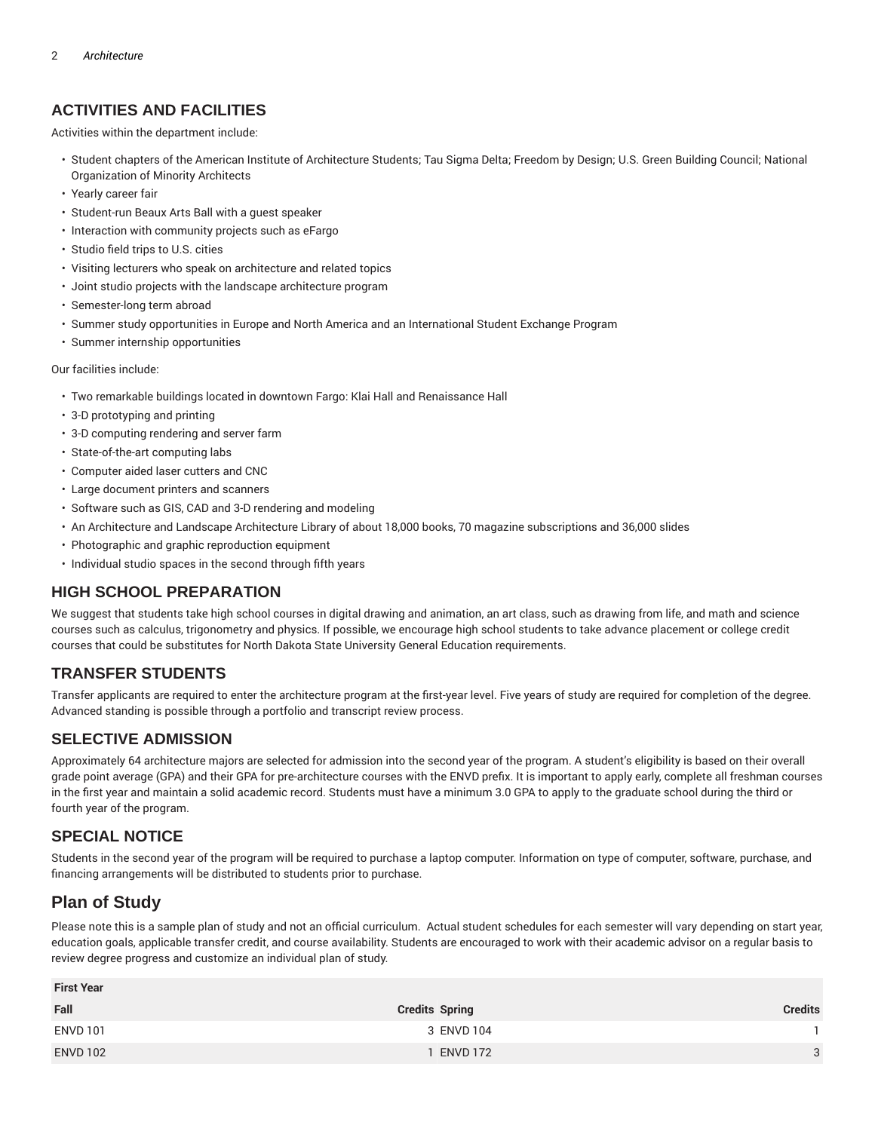#### **ACTIVITIES AND FACILITIES**

Activities within the department include:

- Student chapters of the American Institute of Architecture Students; Tau Sigma Delta; Freedom by Design; U.S. Green Building Council; National Organization of Minority Architects
- Yearly career fair
- Student-run Beaux Arts Ball with a guest speaker
- Interaction with community projects such as eFargo
- Studio field trips to U.S. cities
- Visiting lecturers who speak on architecture and related topics
- Joint studio projects with the landscape architecture program
- Semester-long term abroad
- Summer study opportunities in Europe and North America and an International Student Exchange Program
- Summer internship opportunities

Our facilities include:

- Two remarkable buildings located in downtown Fargo: Klai Hall and Renaissance Hall
- 3-D prototyping and printing
- 3-D computing rendering and server farm
- State-of-the-art computing labs
- Computer aided laser cutters and CNC
- Large document printers and scanners
- Software such as GIS, CAD and 3-D rendering and modeling
- An Architecture and Landscape Architecture Library of about 18,000 books, 70 magazine subscriptions and 36,000 slides
- Photographic and graphic reproduction equipment
- Individual studio spaces in the second through fifth years

#### **HIGH SCHOOL PREPARATION**

We suggest that students take high school courses in digital drawing and animation, an art class, such as drawing from life, and math and science courses such as calculus, trigonometry and physics. If possible, we encourage high school students to take advance placement or college credit courses that could be substitutes for North Dakota State University General Education requirements.

#### **TRANSFER STUDENTS**

Transfer applicants are required to enter the architecture program at the first-year level. Five years of study are required for completion of the degree. Advanced standing is possible through a portfolio and transcript review process.

#### **SELECTIVE ADMISSION**

Approximately 64 architecture majors are selected for admission into the second year of the program. A student's eligibility is based on their overall grade point average (GPA) and their GPA for pre-architecture courses with the ENVD prefix. It is important to apply early, complete all freshman courses in the first year and maintain a solid academic record. Students must have a minimum 3.0 GPA to apply to the graduate school during the third or fourth year of the program.

#### **SPECIAL NOTICE**

Students in the second year of the program will be required to purchase a laptop computer. Information on type of computer, software, purchase, and financing arrangements will be distributed to students prior to purchase.

## **Plan of Study**

Please note this is a sample plan of study and not an official curriculum. Actual student schedules for each semester will vary depending on start year, education goals, applicable transfer credit, and course availability. Students are encouraged to work with their academic advisor on a regular basis to review degree progress and customize an individual plan of study.

| <b>First Year</b> |                       |         |  |  |
|-------------------|-----------------------|---------|--|--|
| Fall              | <b>Credits Spring</b> | Credits |  |  |
| <b>ENVD 101</b>   | 3 ENVD 104            |         |  |  |
| <b>ENVD 102</b>   | <b>ENVD 172</b>       | 3       |  |  |